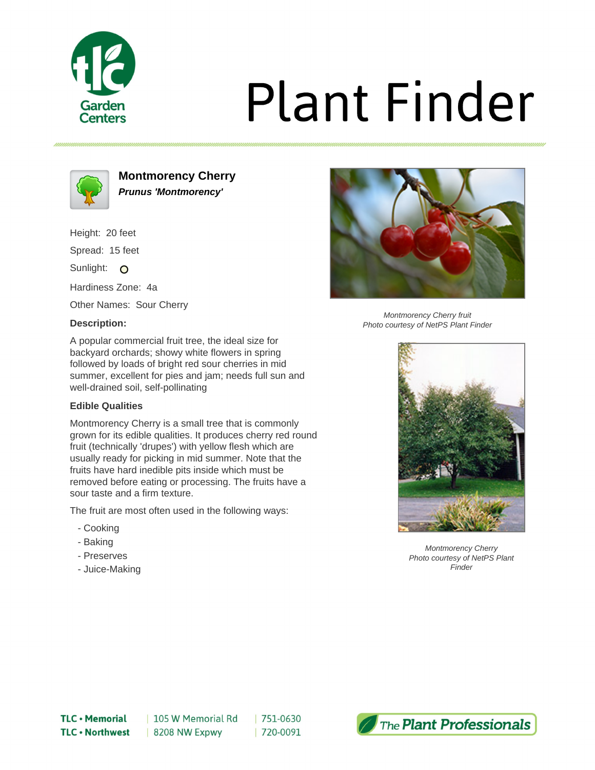

# **Plant Finder**



**Montmorency Cherry Prunus 'Montmorency'**

Height: 20 feet Spread: 15 feet

Sunlight: O

Hardiness Zone: 4a

Other Names: Sour Cherry

## **Description:**



Montmorency Cherry fruit Photo courtesy of NetPS Plant Finder

A popular commercial fruit tree, the ideal size for backyard orchards; showy white flowers in spring followed by loads of bright red sour cherries in mid summer, excellent for pies and jam; needs full sun and well-drained soil, self-pollinating

## **Edible Qualities**

Montmorency Cherry is a small tree that is commonly grown for its edible qualities. It produces cherry red round fruit (technically 'drupes') with yellow flesh which are usually ready for picking in mid summer. Note that the fruits have hard inedible pits inside which must be removed before eating or processing. The fruits have a sour taste and a firm texture.

The fruit are most often used in the following ways:

- Cooking
- Baking
- Preserves
- Juice-Making



Montmorency Cherry Photo courtesy of NetPS Plant **Finder**